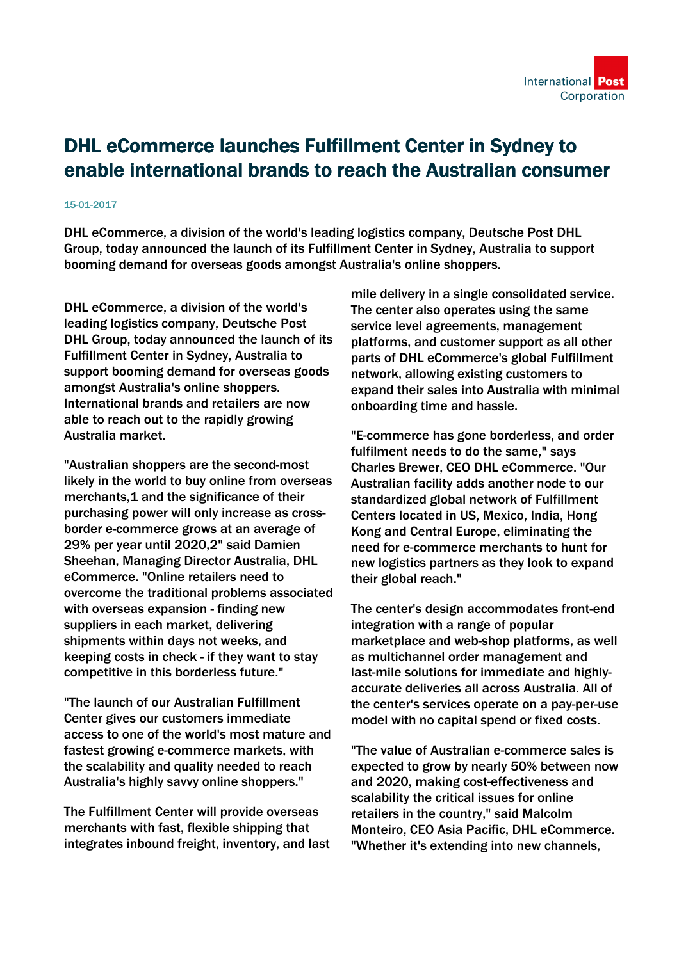

## DHL eCommerce launches Fulfillment Center in Sydney to enable international brands to reach the Australian consumer

## 15-01-2017

DHL eCommerce, a division of the world's leading logistics company, Deutsche Post DHL Group, today announced the launch of its Fulfillment Center in Sydney, Australia to support booming demand for overseas goods amongst Australia's online shoppers.

DHL eCommerce, a division of the world's leading logistics company, Deutsche Post DHL Group, today announced the launch of its Fulfillment Center in Sydney, Australia to support booming demand for overseas goods amongst Australia's online shoppers. International brands and retailers are now able to reach out to the rapidly growing Australia market.

"Australian shoppers are the second-most likely in the world to buy online from overseas merchants,1 and the significance of their purchasing power will only increase as crossborder e-commerce grows at an average of 29% per year until 2020,2" said Damien Sheehan, Managing Director Australia, DHL eCommerce. "Online retailers need to overcome the traditional problems associated with overseas expansion - finding new suppliers in each market, delivering shipments within days not weeks, and keeping costs in check - if they want to stay competitive in this borderless future."

"The launch of our Australian Fulfillment Center gives our customers immediate access to one of the world's most mature and fastest growing e-commerce markets, with the scalability and quality needed to reach Australia's highly savvy online shoppers."

The Fulfillment Center will provide overseas merchants with fast, flexible shipping that integrates inbound freight, inventory, and last mile delivery in a single consolidated service. The center also operates using the same service level agreements, management platforms, and customer support as all other parts of DHL eCommerce's global Fulfillment network, allowing existing customers to expand their sales into Australia with minimal onboarding time and hassle.

"E-commerce has gone borderless, and order fulfilment needs to do the same," says Charles Brewer, CEO DHL eCommerce. "Our Australian facility adds another node to our standardized global network of Fulfillment Centers located in US, Mexico, India, Hong Kong and Central Europe, eliminating the need for e-commerce merchants to hunt for new logistics partners as they look to expand their global reach."

The center's design accommodates front-end integration with a range of popular marketplace and web-shop platforms, as well as multichannel order management and last-mile solutions for immediate and highlyaccurate deliveries all across Australia. All of the center's services operate on a pay-per-use model with no capital spend or fixed costs.

"The value of Australian e-commerce sales is expected to grow by nearly 50% between now and 2020, making cost-effectiveness and scalability the critical issues for online retailers in the country," said Malcolm Monteiro, CEO Asia Pacific, DHL eCommerce. "Whether it's extending into new channels,